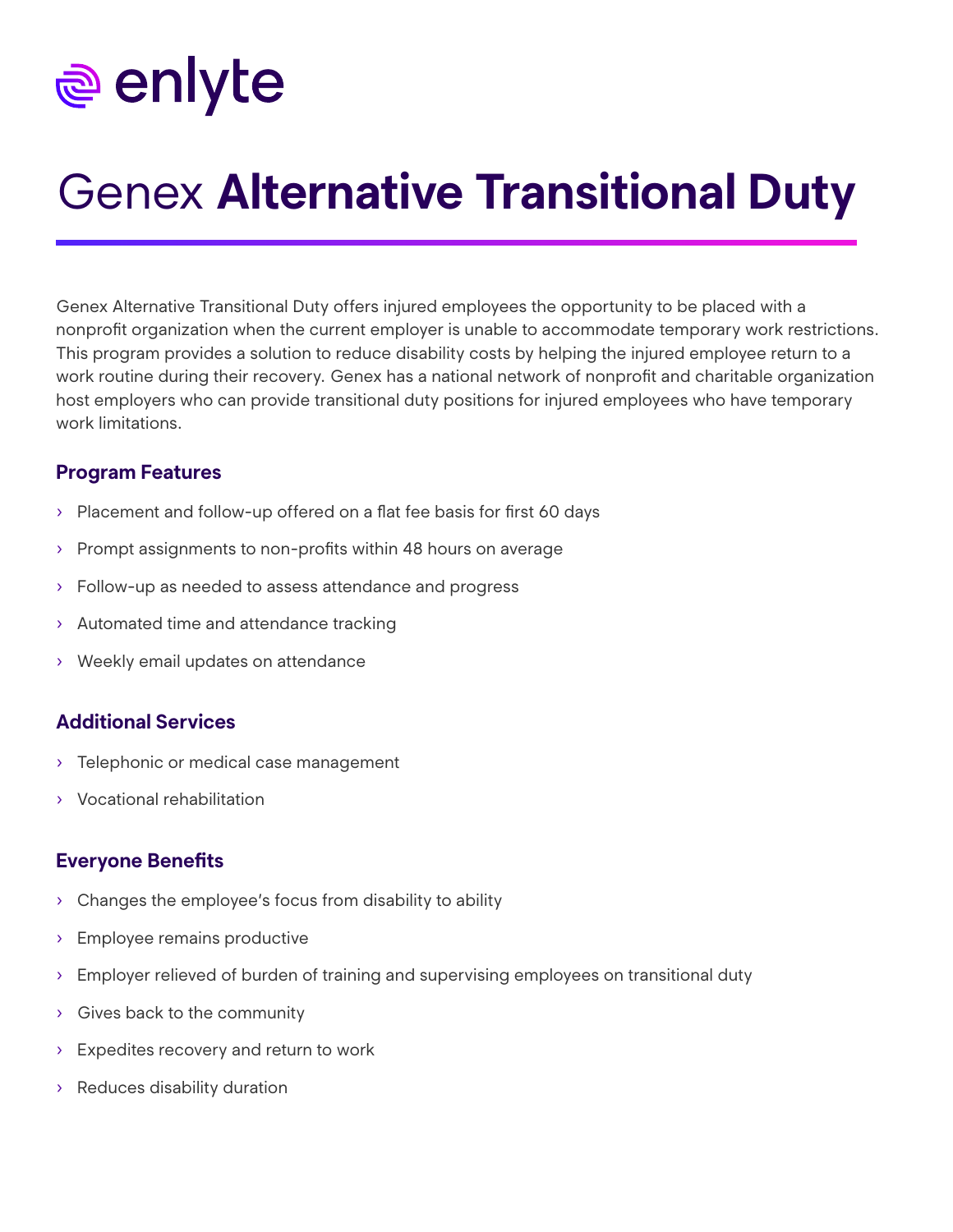# <u>ම</u> enlyte

## Genex **Alternative Transitional Duty**

Genex Alternative Transitional Duty offers injured employees the opportunity to be placed with a nonprofit organization when the current employer is unable to accommodate temporary work restrictions. This program provides a solution to reduce disability costs by helping the injured employee return to a work routine during their recovery. Genex has a national network of nonprofit and charitable organization host employers who can provide transitional duty positions for injured employees who have temporary work limitations.

#### **Program Features**

- › Placement and follow-up offered on a flat fee basis for first 60 days
- › Prompt assignments to non-profits within 48 hours on average
- › Follow-up as needed to assess attendance and progress
- › Automated time and attendance tracking
- › Weekly email updates on attendance

#### **Additional Services**

- › Telephonic or medical case management
- › Vocational rehabilitation

#### **Everyone Benefits**

- › Changes the employee's focus from disability to ability
- › Employee remains productive
- › Employer relieved of burden of training and supervising employees on transitional duty
- › Gives back to the community
- › Expedites recovery and return to work
- › Reduces disability duration